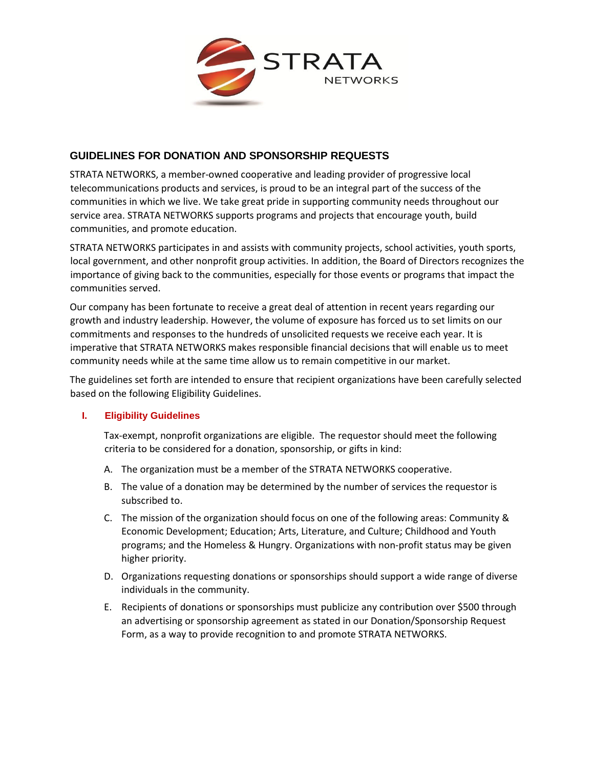

## **GUIDELINES FOR DONATION AND SPONSORSHIP REQUESTS**

STRATA NETWORKS, a member-owned cooperative and leading provider of progressive local telecommunications products and services, is proud to be an integral part of the success of the communities in which we live. We take great pride in supporting community needs throughout our service area. STRATA NETWORKS supports programs and projects that encourage youth, build communities, and promote education.

STRATA NETWORKS participates in and assists with community projects, school activities, youth sports, local government, and other nonprofit group activities. In addition, the Board of Directors recognizes the importance of giving back to the communities, especially for those events or programs that impact the communities served.

Our company has been fortunate to receive a great deal of attention in recent years regarding our growth and industry leadership. However, the volume of exposure has forced us to set limits on our commitments and responses to the hundreds of unsolicited requests we receive each year. It is imperative that STRATA NETWORKS makes responsible financial decisions that will enable us to meet community needs while at the same time allow us to remain competitive in our market.

The guidelines set forth are intended to ensure that recipient organizations have been carefully selected based on the following Eligibility Guidelines.

## **I. Eligibility Guidelines**

Tax-exempt, nonprofit organizations are eligible. The requestor should meet the following criteria to be considered for a donation, sponsorship, or gifts in kind:

- A. The organization must be a member of the STRATA NETWORKS cooperative.
- B. The value of a donation may be determined by the number of services the requestor is subscribed to.
- C. The mission of the organization should focus on one of the following areas: Community & Economic Development; Education; Arts, Literature, and Culture; Childhood and Youth programs; and the Homeless & Hungry. Organizations with non-profit status may be given higher priority.
- D. Organizations requesting donations or sponsorships should support a wide range of diverse individuals in the community.
- E. Recipients of donations or sponsorships must publicize any contribution over \$500 through an advertising or sponsorship agreement as stated in our Donation/Sponsorship Request Form, as a way to provide recognition to and promote STRATA NETWORKS.